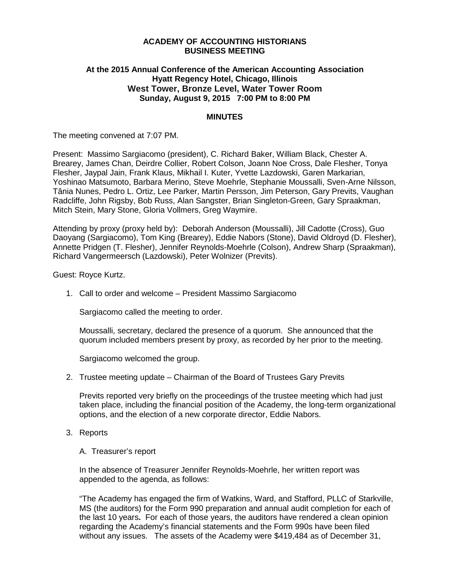### **ACADEMY OF ACCOUNTING HISTORIANS BUSINESS MEETING**

# **At the 2015 Annual Conference of the American Accounting Association Hyatt Regency Hotel, Chicago, Illinois West Tower, Bronze Level, Water Tower Room Sunday, August 9, 2015 7:00 PM to 8:00 PM**

## **MINUTES**

The meeting convened at 7:07 PM.

Present: Massimo Sargiacomo (president), C. Richard Baker, William Black, Chester A. Brearey, James Chan, Deirdre Collier, Robert Colson, Joann Noe Cross, Dale Flesher, Tonya Flesher, Jaypal Jain, Frank Klaus, Mikhail I. Kuter, Yvette Lazdowski, Garen Markarian, Yoshinao Matsumoto, Barbara Merino, Steve Moehrle, Stephanie Moussalli, Sven-Arne Nilsson, Tânia Nunes, Pedro L. Ortiz, Lee Parker, Martin Persson, Jim Peterson, Gary Previts, Vaughan Radcliffe, John Rigsby, Bob Russ, Alan Sangster, Brian Singleton-Green, Gary Spraakman, Mitch Stein, Mary Stone, Gloria Vollmers, Greg Waymire.

Attending by proxy (proxy held by): Deborah Anderson (Moussalli), Jill Cadotte (Cross), Guo Daoyang (Sargiacomo), Tom King (Brearey), Eddie Nabors (Stone), David Oldroyd (D. Flesher), Annette Pridgen (T. Flesher), Jennifer Reynolds-Moehrle (Colson), Andrew Sharp (Spraakman), Richard Vangermeersch (Lazdowski), Peter Wolnizer (Previts).

Guest: Royce Kurtz.

1. Call to order and welcome – President Massimo Sargiacomo

Sargiacomo called the meeting to order.

Moussalli, secretary, declared the presence of a quorum. She announced that the quorum included members present by proxy, as recorded by her prior to the meeting.

Sargiacomo welcomed the group.

2. Trustee meeting update – Chairman of the Board of Trustees Gary Previts

Previts reported very briefly on the proceedings of the trustee meeting which had just taken place, including the financial position of the Academy, the long-term organizational options, and the election of a new corporate director, Eddie Nabors.

- 3. Reports
	- A. Treasurer's report

In the absence of Treasurer Jennifer Reynolds-Moehrle, her written report was appended to the agenda, as follows:

"The Academy has engaged the firm of Watkins, Ward, and Stafford, PLLC of Starkville, MS (the auditors) for the Form 990 preparation and annual audit completion for each of the last 10 years**.** For each of those years, the auditors have rendered a clean opinion regarding the Academy's financial statements and the Form 990s have been filed without any issues. The assets of the Academy were \$419,484 as of December 31,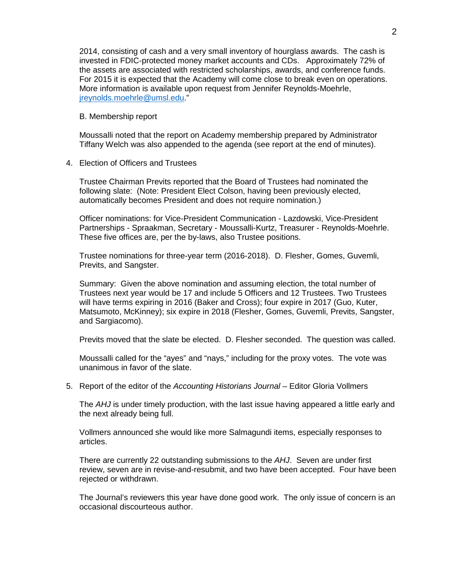2014, consisting of cash and a very small inventory of hourglass awards. The cash is invested in FDIC-protected money market accounts and CDs. Approximately 72% of the assets are associated with restricted scholarships, awards, and conference funds. For 2015 it is expected that the Academy will come close to break even on operations. More information is available upon request from Jennifer Reynolds-Moehrle, [jreynolds.moehrle@umsl.edu.](mailto:jreynolds.moehrle@umsl.edu)"

#### B. Membership report

Moussalli noted that the report on Academy membership prepared by Administrator Tiffany Welch was also appended to the agenda (see report at the end of minutes).

## 4. Election of Officers and Trustees

Trustee Chairman Previts reported that the Board of Trustees had nominated the following slate: (Note: President Elect Colson, having been previously elected, automatically becomes President and does not require nomination.)

Officer nominations: for Vice-President Communication - Lazdowski, Vice-President Partnerships - Spraakman, Secretary - Moussalli-Kurtz, Treasurer - Reynolds-Moehrle. These five offices are, per the by-laws, also Trustee positions.

Trustee nominations for three-year term (2016-2018). D. Flesher, Gomes, Guvemli, Previts, and Sangster.

Summary: Given the above nomination and assuming election, the total number of Trustees next year would be 17 and include 5 Officers and 12 Trustees. Two Trustees will have terms expiring in 2016 (Baker and Cross); four expire in 2017 (Guo, Kuter, Matsumoto, McKinney); six expire in 2018 (Flesher, Gomes, Guvemli, Previts, Sangster, and Sargiacomo).

Previts moved that the slate be elected. D. Flesher seconded. The question was called.

Moussalli called for the "ayes" and "nays," including for the proxy votes. The vote was unanimous in favor of the slate.

#### 5. Report of the editor of the *Accounting Historians Journal* – Editor Gloria Vollmers

The *AHJ* is under timely production, with the last issue having appeared a little early and the next already being full.

Vollmers announced she would like more Salmagundi items, especially responses to articles.

There are currently 22 outstanding submissions to the *AHJ*. Seven are under first review, seven are in revise-and-resubmit, and two have been accepted. Four have been rejected or withdrawn.

The Journal's reviewers this year have done good work. The only issue of concern is an occasional discourteous author.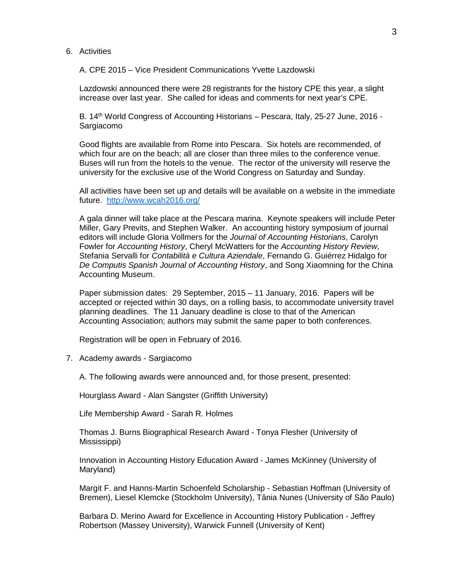#### 6. Activities

A. CPE 2015 – Vice President Communications Yvette Lazdowski

Lazdowski announced there were 28 registrants for the history CPE this year, a slight increase over last year. She called for ideas and comments for next year's CPE.

B. 14<sup>th</sup> World Congress of Accounting Historians – Pescara, Italy, 25-27 June, 2016 -Sargiacomo

Good flights are available from Rome into Pescara. Six hotels are recommended, of which four are on the beach; all are closer than three miles to the conference venue. Buses will run from the hotels to the venue. The rector of the university will reserve the university for the exclusive use of the World Congress on Saturday and Sunday.

All activities have been set up and details will be available on a website in the immediate future. <http://www.wcah2016.org/>

A gala dinner will take place at the Pescara marina. Keynote speakers will include Peter Miller, Gary Previts, and Stephen Walker. An accounting history symposium of journal editors will include Gloria Vollmers for the *Journal of Accounting Historians*, Carolyn Fowler for *Accounting History*, Cheryl McWatters for the *Accounting History Review*, Stefania Servalli for *Contabilità e Cultura Aziendale*, Fernando G. Guiérrez Hidalgo for *De Computis Spanish Journal of Accounting History*, and Song Xiaomning for the China Accounting Museum.

Paper submission dates: 29 September, 2015 – 11 January, 2016. Papers will be accepted or rejected within 30 days, on a rolling basis, to accommodate university travel planning deadlines. The 11 January deadline is close to that of the American Accounting Association; authors may submit the same paper to both conferences.

Registration will be open in February of 2016.

7. Academy awards - Sargiacomo

A. The following awards were announced and, for those present, presented:

Hourglass Award - Alan Sangster (Griffith University)

Life Membership Award - Sarah R. Holmes

Thomas J. Burns Biographical Research Award - Tonya Flesher (University of Mississippi)

Innovation in Accounting History Education Award - James McKinney (University of Maryland)

Margit F. and Hanns-Martin Schoenfeld Scholarship - Sebastian Hoffman (University of Bremen), Liesel Klemcke (Stockholm University), Tânia Nunes (University of São Paulo)

Barbara D. Merino Award for Excellence in Accounting History Publication - Jeffrey Robertson (Massey University), Warwick Funnell (University of Kent)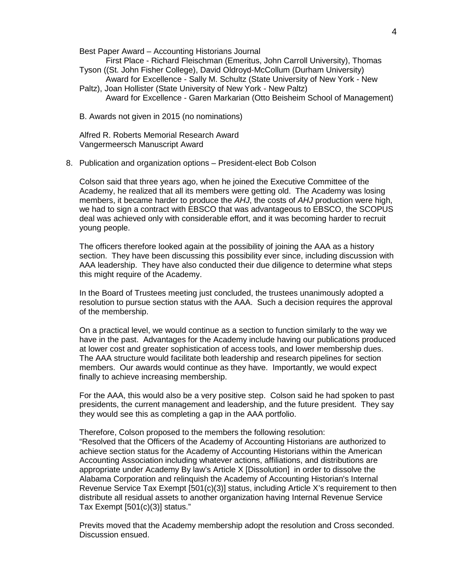Best Paper Award – Accounting Historians Journal

First Place - Richard Fleischman (Emeritus, John Carroll University), Thomas Tyson ((St. John Fisher College), David Oldroyd-McCollum (Durham University)

- Award for Excellence Sally M. Schultz (State University of New York New Paltz), Joan Hollister (State University of New York - New Paltz)
	- Award for Excellence Garen Markarian (Otto Beisheim School of Management)
- B. Awards not given in 2015 (no nominations)

Alfred R. Roberts Memorial Research Award Vangermeersch Manuscript Award

8. Publication and organization options – President-elect Bob Colson

Colson said that three years ago, when he joined the Executive Committee of the Academy, he realized that all its members were getting old. The Academy was losing members, it became harder to produce the *AHJ*, the costs of *AHJ* production were high, we had to sign a contract with EBSCO that was advantageous to EBSCO, the SCOPUS deal was achieved only with considerable effort, and it was becoming harder to recruit young people.

The officers therefore looked again at the possibility of joining the AAA as a history section. They have been discussing this possibility ever since, including discussion with AAA leadership. They have also conducted their due diligence to determine what steps this might require of the Academy.

In the Board of Trustees meeting just concluded, the trustees unanimously adopted a resolution to pursue section status with the AAA. Such a decision requires the approval of the membership.

On a practical level, we would continue as a section to function similarly to the way we have in the past. Advantages for the Academy include having our publications produced at lower cost and greater sophistication of access tools, and lower membership dues. The AAA structure would facilitate both leadership and research pipelines for section members. Our awards would continue as they have. Importantly, we would expect finally to achieve increasing membership.

For the AAA, this would also be a very positive step. Colson said he had spoken to past presidents, the current management and leadership, and the future president. They say they would see this as completing a gap in the AAA portfolio.

Therefore, Colson proposed to the members the following resolution: "Resolved that the Officers of the Academy of Accounting Historians are authorized to achieve section status for the Academy of Accounting Historians within the American Accounting Association including whatever actions, affiliations, and distributions are appropriate under Academy By law's Article X [Dissolution] in order to dissolve the Alabama Corporation and relinquish the Academy of Accounting Historian's Internal Revenue Service Tax Exempt [501(c)(3)] status, including Article X's requirement to then distribute all residual assets to another organization having Internal Revenue Service Tax Exempt [501(c)(3)] status."

Previts moved that the Academy membership adopt the resolution and Cross seconded. Discussion ensued.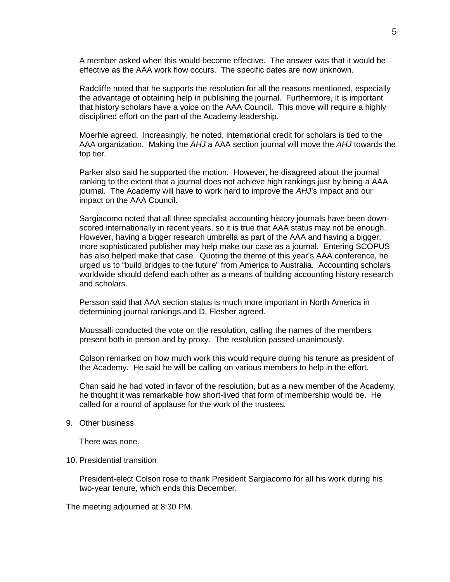A member asked when this would become effective. The answer was that it would be effective as the AAA work flow occurs. The specific dates are now unknown.

Radcliffe noted that he supports the resolution for all the reasons mentioned, especially the advantage of obtaining help in publishing the journal. Furthermore, it is important that history scholars have a voice on the AAA Council. This move will require a highly disciplined effort on the part of the Academy leadership.

Moerhle agreed. Increasingly, he noted, international credit for scholars is tied to the AAA organization. Making the *AHJ* a AAA section journal will move the *AHJ* towards the top tier.

Parker also said he supported the motion. However, he disagreed about the journal ranking to the extent that a journal does not achieve high rankings just by being a AAA journal. The Academy will have to work hard to improve the *AHJ*'s impact and our impact on the AAA Council.

Sargiacomo noted that all three specialist accounting history journals have been downscored internationally in recent years, so it is true that AAA status may not be enough. However, having a bigger research umbrella as part of the AAA and having a bigger, more sophisticated publisher may help make our case as a journal. Entering SCOPUS has also helped make that case. Quoting the theme of this year's AAA conference, he urged us to "build bridges to the future" from America to Australia. Accounting scholars worldwide should defend each other as a means of building accounting history research and scholars.

Persson said that AAA section status is much more important in North America in determining journal rankings and D. Flesher agreed.

Moussalli conducted the vote on the resolution, calling the names of the members present both in person and by proxy. The resolution passed unanimously.

Colson remarked on how much work this would require during his tenure as president of the Academy. He said he will be calling on various members to help in the effort.

Chan said he had voted in favor of the resolution, but as a new member of the Academy, he thought it was remarkable how short-lived that form of membership would be. He called for a round of applause for the work of the trustees.

#### 9. Other business

There was none.

#### 10. Presidential transition

President-elect Colson rose to thank President Sargiacomo for all his work during his two-year tenure, which ends this December.

The meeting adjourned at 8:30 PM.